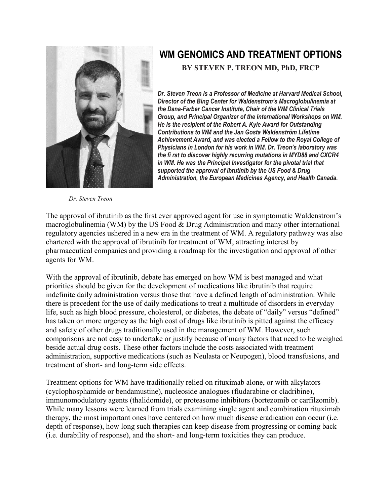

## **WM GENOMICS AND TREATMENT OPTIONS**

**BY STEVEN P. TREON MD, PhD, FRCP**

*Dr. Steven Treon is a Professor of Medicine at Harvard Medical School, Director of the Bing Center for Waldenstrom's Macroglobulinemia at the Dana-Farber Cancer Institute, Chair of the WM Clinical Trials Group, and Principal Organizer of the International Workshops on WM. He is the recipient of the Robert A. Kyle Award for Outstanding Contributions to WM and the Jan Gosta Waldenström Lifetime Achievement Award, and was elected a Fellow to the Royal College of Physicians in London for his work in WM. Dr. Treon's laboratory was the fi rst to discover highly recurring mutations in MYD88 and CXCR4 in WM. He was the Principal Investigator for the pivotal trial that supported the approval of ibrutinib by the US Food & Drug Administration, the European Medicines Agency, and Health Canada.* 

*Dr. Steven Treon*

The approval of ibrutinib as the first ever approved agent for use in symptomatic Waldenstrom's macroglobulinemia (WM) by the US Food & Drug Administration and many other international regulatory agencies ushered in a new era in the treatment of WM. A regulatory pathway was also chartered with the approval of ibrutinib for treatment of WM, attracting interest by pharmaceutical companies and providing a roadmap for the investigation and approval of other agents for WM.

With the approval of ibrutinib, debate has emerged on how WM is best managed and what priorities should be given for the development of medications like ibrutinib that require indefinite daily administration versus those that have a defined length of administration. While there is precedent for the use of daily medications to treat a multitude of disorders in everyday life, such as high blood pressure, cholesterol, or diabetes, the debate of "daily" versus "defined" has taken on more urgency as the high cost of drugs like ibrutinib is pitted against the efficacy and safety of other drugs traditionally used in the management of WM. However, such comparisons are not easy to undertake or justify because of many factors that need to be weighed beside actual drug costs. These other factors include the costs associated with treatment administration, supportive medications (such as Neulasta or Neupogen), blood transfusions, and treatment of short- and long-term side effects.

Treatment options for WM have traditionally relied on rituximab alone, or with alkylators (cyclophosphamide or bendamustine), nucleoside analogues (fludarabine or cladribine), immunomodulatory agents (thalidomide), or proteasome inhibitors (bortezomib or carfilzomib). While many lessons were learned from trials examining single agent and combination rituximab therapy, the most important ones have centered on how much disease eradication can occur (i.e. depth of response), how long such therapies can keep disease from progressing or coming back (i.e. durability of response), and the short- and long-term toxicities they can produce.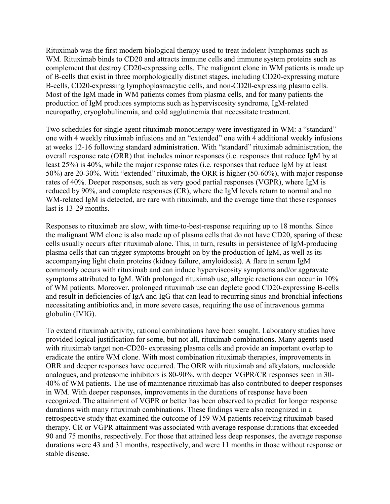Rituximab was the first modern biological therapy used to treat indolent lymphomas such as WM. Rituximab binds to CD20 and attracts immune cells and immune system proteins such as complement that destroy CD20-expressing cells. The malignant clone in WM patients is made up of B-cells that exist in three morphologically distinct stages, including CD20-expressing mature B-cells, CD20-expressing lymphoplasmacytic cells, and non-CD20-expressing plasma cells. Most of the IgM made in WM patients comes from plasma cells, and for many patients the production of IgM produces symptoms such as hyperviscosity syndrome, IgM-related neuropathy, cryoglobulinemia, and cold agglutinemia that necessitate treatment.

Two schedules for single agent rituximab monotherapy were investigated in WM: a "standard" one with 4 weekly rituximab infusions and an "extended" one with 4 additional weekly infusions at weeks 12-16 following standard administration. With "standard" rituximab administration, the overall response rate (ORR) that includes minor responses (i.e. responses that reduce IgM by at least 25%) is 40%, while the major response rates (i.e. responses that reduce IgM by at least 50%) are 20-30%. With "extended" rituximab, the ORR is higher (50-60%), with major response rates of 40%. Deeper responses, such as very good partial responses (VGPR), where IgM is reduced by 90%, and complete responses (CR), where the IgM levels return to normal and no WM-related IgM is detected, are rare with rituximab, and the average time that these responses last is 13-29 months.

Responses to rituximab are slow, with time-to-best-response requiring up to 18 months. Since the malignant WM clone is also made up of plasma cells that do not have CD20, sparing of these cells usually occurs after rituximab alone. This, in turn, results in persistence of IgM-producing plasma cells that can trigger symptoms brought on by the production of IgM, as well as its accompanying light chain proteins (kidney failure, amyloidosis). A flare in serum IgM commonly occurs with rituximab and can induce hyperviscosity symptoms and/or aggravate symptoms attributed to IgM. With prolonged rituximab use, allergic reactions can occur in 10% of WM patients. Moreover, prolonged rituximab use can deplete good CD20-expressing B-cells and result in deficiencies of IgA and IgG that can lead to recurring sinus and bronchial infections necessitating antibiotics and, in more severe cases, requiring the use of intravenous gamma globulin (IVIG).

To extend rituximab activity, rational combinations have been sought. Laboratory studies have provided logical justification for some, but not all, rituximab combinations. Many agents used with rituximab target non-CD20- expressing plasma cells and provide an important overlap to eradicate the entire WM clone. With most combination rituximab therapies, improvements in ORR and deeper responses have occurred. The ORR with rituximab and alkylators, nucleoside analogues, and proteasome inhibitors is 80-90%, with deeper VGPR/CR responses seen in 30- 40% of WM patients. The use of maintenance rituximab has also contributed to deeper responses in WM. With deeper responses, improvements in the durations of response have been recognized. The attainment of VGPR or better has been observed to predict for longer response durations with many rituximab combinations. These findings were also recognized in a retrospective study that examined the outcome of 159 WM patients receiving rituximab-based therapy. CR or VGPR attainment was associated with average response durations that exceeded 90 and 75 months, respectively. For those that attained less deep responses, the average response durations were 43 and 31 months, respectively, and were 11 months in those without response or stable disease.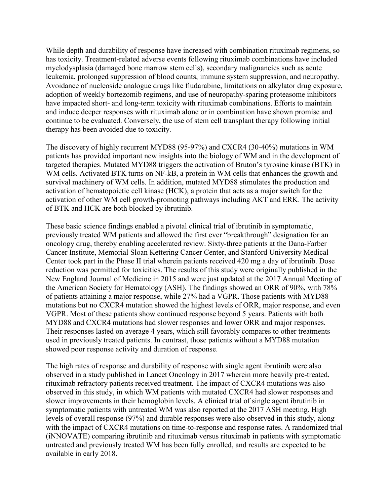While depth and durability of response have increased with combination rituximab regimens, so has toxicity. Treatment-related adverse events following rituximab combinations have included myelodysplasia (damaged bone marrow stem cells), secondary malignancies such as acute leukemia, prolonged suppression of blood counts, immune system suppression, and neuropathy. Avoidance of nucleoside analogue drugs like fludarabine, limitations on alkylator drug exposure, adoption of weekly bortezomib regimens, and use of neuropathy-sparing proteasome inhibitors have impacted short- and long-term toxicity with rituximab combinations. Efforts to maintain and induce deeper responses with rituximab alone or in combination have shown promise and continue to be evaluated. Conversely, the use of stem cell transplant therapy following initial therapy has been avoided due to toxicity.

The discovery of highly recurrent MYD88 (95-97%) and CXCR4 (30-40%) mutations in WM patients has provided important new insights into the biology of WM and in the development of targeted therapies. Mutated MYD88 triggers the activation of Bruton's tyrosine kinase (BTK) in WM cells. Activated BTK turns on NF-kB, a protein in WM cells that enhances the growth and survival machinery of WM cells. In addition, mutated MYD88 stimulates the production and activation of hematopoietic cell kinase (HCK), a protein that acts as a major switch for the activation of other WM cell growth-promoting pathways including AKT and ERK. The activity of BTK and HCK are both blocked by ibrutinib.

These basic science findings enabled a pivotal clinical trial of ibrutinib in symptomatic, previously treated WM patients and allowed the first ever "breakthrough" designation for an oncology drug, thereby enabling accelerated review. Sixty-three patients at the Dana-Farber Cancer Institute, Memorial Sloan Kettering Cancer Center, and Stanford University Medical Center took part in the Phase II trial wherein patients received 420 mg a day of ibrutinib. Dose reduction was permitted for toxicities. The results of this study were originally published in the New England Journal of Medicine in 2015 and were just updated at the 2017 Annual Meeting of the American Society for Hematology (ASH). The findings showed an ORR of 90%, with 78% of patients attaining a major response, while 27% had a VGPR. Those patients with MYD88 mutations but no CXCR4 mutation showed the highest levels of ORR, major response, and even VGPR. Most of these patients show continued response beyond 5 years. Patients with both MYD88 and CXCR4 mutations had slower responses and lower ORR and major responses. Their responses lasted on average 4 years, which still favorably compares to other treatments used in previously treated patients. In contrast, those patients without a MYD88 mutation showed poor response activity and duration of response.

The high rates of response and durability of response with single agent ibrutinib were also observed in a study published in Lancet Oncology in 2017 wherein more heavily pre-treated, rituximab refractory patients received treatment. The impact of CXCR4 mutations was also observed in this study, in which WM patients with mutated CXCR4 had slower responses and slower improvements in their hemoglobin levels. A clinical trial of single agent ibrutinib in symptomatic patients with untreated WM was also reported at the 2017 ASH meeting. High levels of overall response (97%) and durable responses were also observed in this study, along with the impact of CXCR4 mutations on time-to-response and response rates. A randomized trial (iNNOVATE) comparing ibrutinib and rituximab versus rituximab in patients with symptomatic untreated and previously treated WM has been fully enrolled, and results are expected to be available in early 2018.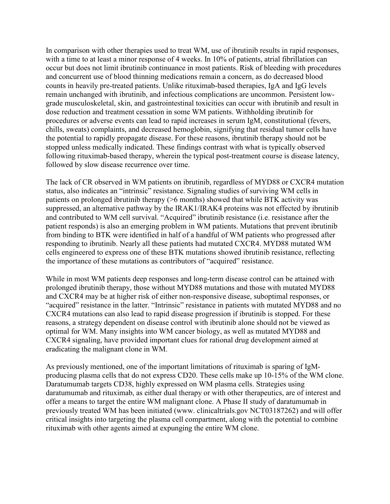In comparison with other therapies used to treat WM, use of ibrutinib results in rapid responses, with a time to at least a minor response of 4 weeks. In 10% of patients, atrial fibrillation can occur but does not limit ibrutinib continuance in most patients. Risk of bleeding with procedures and concurrent use of blood thinning medications remain a concern, as do decreased blood counts in heavily pre-treated patients. Unlike rituximab-based therapies, IgA and IgG levels remain unchanged with ibrutinib, and infectious complications are uncommon. Persistent lowgrade musculoskeletal, skin, and gastrointestinal toxicities can occur with ibrutinib and result in dose reduction and treatment cessation in some WM patients. Withholding ibrutinib for procedures or adverse events can lead to rapid increases in serum IgM, constitutional (fevers, chills, sweats) complaints, and decreased hemoglobin, signifying that residual tumor cells have the potential to rapidly propagate disease. For these reasons, ibrutinib therapy should not be stopped unless medically indicated. These findings contrast with what is typically observed following rituximab-based therapy, wherein the typical post-treatment course is disease latency, followed by slow disease recurrence over time.

The lack of CR observed in WM patients on ibrutinib, regardless of MYD88 or CXCR4 mutation status, also indicates an "intrinsic" resistance. Signaling studies of surviving WM cells in patients on prolonged ibrutinib therapy (>6 months) showed that while BTK activity was suppressed, an alternative pathway by the IRAK1/IRAK4 proteins was not effected by ibrutinib and contributed to WM cell survival. "Acquired" ibrutinib resistance (i.e. resistance after the patient responds) is also an emerging problem in WM patients. Mutations that prevent ibrutinib from binding to BTK were identified in half of a handful of WM patients who progressed after responding to ibrutinib. Nearly all these patients had mutated CXCR4. MYD88 mutated WM cells engineered to express one of these BTK mutations showed ibrutinib resistance, reflecting the importance of these mutations as contributors of "acquired" resistance.

While in most WM patients deep responses and long-term disease control can be attained with prolonged ibrutinib therapy, those without MYD88 mutations and those with mutated MYD88 and CXCR4 may be at higher risk of either non-responsive disease, suboptimal responses, or "acquired" resistance in the latter. "Intrinsic" resistance in patients with mutated MYD88 and no CXCR4 mutations can also lead to rapid disease progression if ibrutinib is stopped. For these reasons, a strategy dependent on disease control with ibrutinib alone should not be viewed as optimal for WM. Many insights into WM cancer biology, as well as mutated MYD88 and CXCR4 signaling, have provided important clues for rational drug development aimed at eradicating the malignant clone in WM.

As previously mentioned, one of the important limitations of rituximab is sparing of IgMproducing plasma cells that do not express CD20. These cells make up 10-15% of the WM clone. Daratumumab targets CD38, highly expressed on WM plasma cells. Strategies using daratumumab and rituximab, as either dual therapy or with other therapeutics, are of interest and offer a means to target the entire WM malignant clone. A Phase II study of daratumumab in previously treated WM has been initiated (www. clinicaltrials.gov NCT03187262) and will offer critical insights into targeting the plasma cell compartment, along with the potential to combine rituximab with other agents aimed at expunging the entire WM clone.